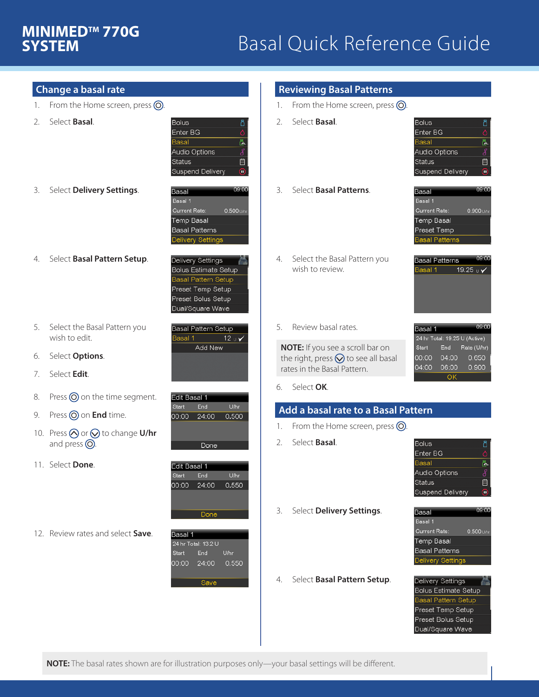# **SYSTEM**

## **MINIMED™770G**<br>**SYSTEM 1880 1880 Basal Quick Reference Guide**

| Change a basal rate |
|---------------------|
|---------------------|

- 1. From the Home screen, press  $\odot$ .
- 2. Select **Basal**.

**Bolus** Enter BG ō. Basal Audio Options 自 Status Suspend Delivery Θ

3. Select **Delivery Settings**.



**Delivery Settings** 

**Bolus Estimate Setup** 

**Basal Pattern Setup** Preset Temp Setup Preset Bolus Setup Dual/Square Wave

Basal Pattern Setup

Add New

00:00 24:00 0.500

Done

Basal 1

Edit Basal 1 End

**Edit Basal 1** 

Start

00:00

Start

 $12<sub>U</sub>$ 

U/hr

Uhr

0.550

- 4. Select **Basal Pattern Setup**.
- 5. Select the Basal Pattern you wish to edit.
- 6. Select **Options**.
- 7. Select **Edit**.
- 8. Press  $\odot$  on the time segment.
- 9. Press **o** on **End** time.
- 10. Press  $\bigotimes$  or  $\bigotimes$  to change **U/hr** and press  $\odot$ .

12. Review rates and select **Save**.

11. Select **Done**.



24:00

Save

End

### **Reviewing Basal Patterns**

- 1. From the Home screen, press  $\odot$ .
- 2. Select **Basal**.



3. Select **Basal Patterns**.



 $19.25 \cup \sqrt{ }$ 

09:00

Rate (U/hr)

 $0.650$ 

0.900

**Basal Patterns** Basal 1

Basal 1

Start

00:00

04:00

24 hr Total: 19.25 U (Active)

End

04:00

06:00

 $\overline{\Omega}$ 

- 4. Select the Basal Pattern you wish to review.
- 5. Review basal rates.

**NOTE:** If you see a scroll bar on the right, press  $\bigotimes$  to see all basal rates in the Basal Pattern.

6. Select **OK**.

### **Add a basal rate to a Basal Pattern**

- 1. From the Home screen, press  $\odot$ .
- 2. Select **Basal**.

| <b>Bolus</b>    |  |
|-----------------|--|
| Enter BG        |  |
| Basal           |  |
| Audio Options   |  |
| Status          |  |
| uspend Delivery |  |

3. Select **Delivery Settings**.

4. Select **Basal Pattern Setup**.

- 09:00 **Basal** Basal 1 Current Rate:  $0.500 \, \text{m}$ **Temp Basal Basal Patterns** Delivery Setting
- Delivery Settings Bolus Estimate Setup **Basal Pattern Setup** Preset Temp Setup Preset Bolus Setup Dual/Square Wave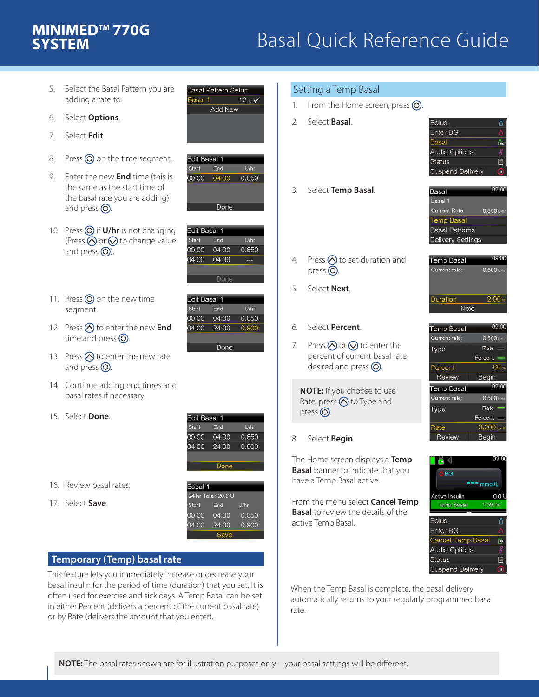# **SYSTEM**

### Basal Quick Reference Guide **MINIMEDTM 770G**

- 5. Select the Basal Pattern you are adding a rate to.
- 6. Select **Options**.
- 7. Select **Edit**.
- 8. Press  $\odot$  on the time segment.
- 9. Enter the new **End** time (this is the same as the start time of the basal rate you are adding) and press  $\odot$ .
- 10. Press  $\odot$  if **U/hr** is not changing (Press  $\bigcirc$  or  $\bigcirc$  to change value and press  $\circled{O}$ ).
- 11. Press  $\odot$  on the new time segment.
- 12. Press  $\bigotimes$  to enter the new **End** time and press  $\odot$ .
- 13. Press  $\bigotimes$  to enter the new rate and press  $\odot$ .
- 14. Continue adding end times and basal rates if necessary.
- 15. Select **Done**.



**Basal Pattern Setup** 

Add New

 $12<sub>U</sub>$ 

U/hr

U/hr

0.650

Uhr

0.650

0.900

Basal 1

Edit Basal 1

Edit Basal 1 End

**Edit Basal 1** 

Start 00:00

 $04:00$ 

Start

00:00

 $04:00$ 

End

00:00 04:00 0.650

Done

04:00

04:30

End

04:00

24:00

Done

Start



17. Select **Save**.

| 24 hr Total: 20.6 U |       |       |  |
|---------------------|-------|-------|--|
| <b>Start</b>        | End   | U/hr  |  |
| 00:00               | 04:00 | 0.650 |  |
| 04:00               | 24:00 | 0.900 |  |
|                     | save  |       |  |

### **Temporary (Temp) basal rate**

This feature lets you immediately increase or decrease your basal insulin for the period of time (duration) that you set. It is often used for exercise and sick days. A Temp Basal can be set in either Percent (delivers a percent of the current basal rate) or by Rate (delivers the amount that you enter).

|              | Setting a Temp Basal                                                                                               |                                                                                                             |
|--------------|--------------------------------------------------------------------------------------------------------------------|-------------------------------------------------------------------------------------------------------------|
| $1_{\ldots}$ | From the Home screen, press $\bigcirc$ .                                                                           |                                                                                                             |
| 2.           | Select <b>Basal</b> .                                                                                              | <b>Bolus</b><br>Enter BG<br>Basal<br>Audio Option<br>Status<br>Suspend Deli                                 |
|              | 3. Select Temp Basal.                                                                                              | Basal<br>Basal 1<br>Current Rate:<br>Temp Basal<br><b>Basal Pattern</b><br>Delivery Setti                   |
| 4.           | Press $\bigcirc$ to set duration and<br>press $\odot$ .                                                            | <b>Temp Basal</b><br>Current rate:                                                                          |
| 5.           | Select Next.                                                                                                       | Duration<br>Ne>                                                                                             |
|              | 6. Select <b>Percent</b> .                                                                                         | Temp Basal                                                                                                  |
| 7.           | Press $\bigcirc$ or $\bigcirc$ to enter the<br>percent of current basal rate<br>desired and press $\circledcirc$ . | Current rate:<br>Type<br>Percent<br>Review                                                                  |
|              | <b>NOTE:</b> If you choose to use<br>Rate, press o to Type and<br>press $\odot$ .                                  | Temp Basal<br>Current rate:<br>Type                                                                         |
| 8.           | Select Begin.                                                                                                      | Rate<br>Review                                                                                              |
|              | The Home screen displays a Temp<br><b>Basal</b> banner to indicate that you<br>have a Temp Basal active.           | e (<br><b>SBG</b>                                                                                           |
|              | From the menu select <b>Cancel Temp</b><br><b>Basal</b> to review the details of the<br>active Temp Basal.         | Active Insulin<br>Temp Basal<br>Bolus<br>Enter BG<br>Cancel Temp<br>Audio Option:<br>Status<br>Suspend Deli |

When the Temp Basal is complete, the basal delivery automatically returns to your regularly programmed basal









ng ng

 $0.0L$  $1:59$  hr

> Š Ë

mmol/L

asa

very